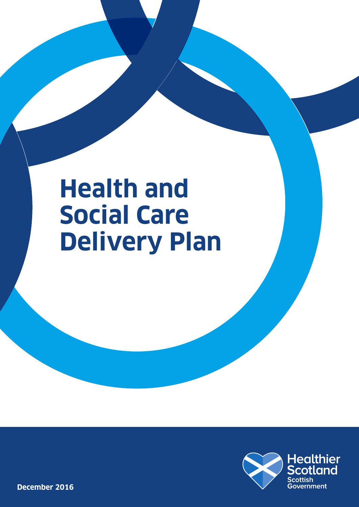# **Health and Social Care Delivery Plan**



**December 2016**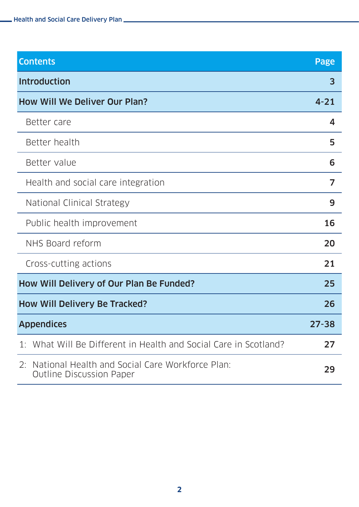| <b>Contents</b>                                                                          | <b>Page</b> |
|------------------------------------------------------------------------------------------|-------------|
| <b>Introduction</b>                                                                      | 3           |
| <b>How Will We Deliver Our Plan?</b>                                                     | $4 - 21$    |
| Better care                                                                              | 4           |
| Better health                                                                            | 5           |
| Better value                                                                             | 6           |
| Health and social care integration                                                       | 7           |
| National Clinical Strategy                                                               | 9           |
| Public health improvement                                                                | 16          |
| NHS Board reform                                                                         | 20          |
| Cross-cutting actions                                                                    | 21          |
| How Will Delivery of Our Plan Be Funded?                                                 | 25          |
| <b>How Will Delivery Be Tracked?</b>                                                     | 26          |
| <b>Appendices</b>                                                                        | $27 - 38$   |
| 1: What Will Be Different in Health and Social Care in Scotland?                         | 27          |
| National Health and Social Care Workforce Plan:<br>2:<br><b>Outline Discussion Paper</b> | 29          |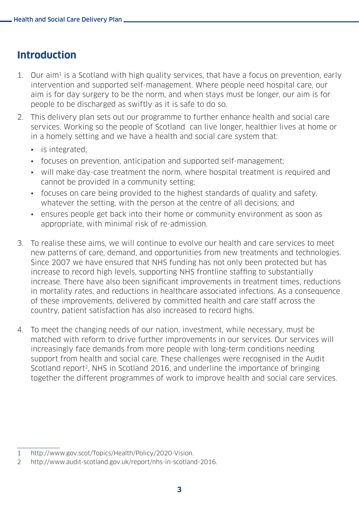## **Introduction**

- 1. Our aim<sup>1</sup> is a Scotland with high quality services, that have a focus on prevention, early intervention and supported self-management. Where people need hospital care, our aim is for day surgery to be the norm, and when stays must be longer, our aim is for people to be discharged as swiftly as it is safe to do so.
- 2. This delivery plan sets out our programme to further enhance health and social care services. Working so the people of Scotland can live longer, healthier lives at home or in a homely setting and we have a health and social care system that:
	- is integrated:
	- focuses on prevention, anticipation and supported self-management;
	- will make day-case treatment the norm, where hospital treatment is required and cannot be provided in a community setting;
	- focuses on care being provided to the highest standards of quality and safety, whatever the setting, with the person at the centre of all decisions; and
	- ensures people get back into their home or community environment as soon as appropriate, with minimal risk of re-admission.
- 3. To realise these aims, we will continue to evolve our health and care services to meet new patterns of care, demand, and opportunities from new treatments and technologies. Since 2007 we have ensured that NHS funding has not only been protected but has increase to record high levels, supporting NHS frontline staffing to substantially increase. There have also been significant improvements in treatment times, reductions in mortality rates, and reductions in healthcare associated infections. As a consequence of these improvements, delivered by committed health and care staff across the country, patient satisfaction has also increased to record highs.
- 4. To meet the changing needs of our nation, investment, while necessary, must be matched with reform to drive further improvements in our services. Our services will increasingly face demands from more people with long-term conditions needing support from health and social care. These challenges were recognised in the Audit Scotland report<sup>2</sup>, NHS in Scotland 2016, and underline the importance of bringing together the different programmes of work to improve health and social care services.

<sup>1</sup> http://www.gov.scot/Topics/Health/Policy/2020-Vision.

<sup>2</sup> [http://www.audit-scotland.gov.uk/report/nhs-in-scotland-2016.](http://www.audit-scotland.gov.uk/report/nhs-in-scotland-2016)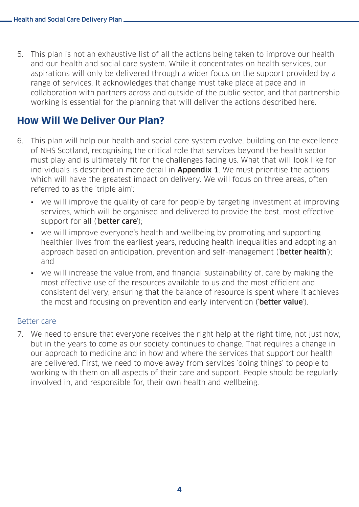5. This plan is not an exhaustive list of all the actions being taken to improve our health and our health and social care system. While it concentrates on health services, our aspirations will only be delivered through a wider focus on the support provided by a range of services. It acknowledges that change must take place at pace and in collaboration with partners across and outside of the public sector, and that partnership working is essential for the planning that will deliver the actions described here.

## **How Will We Deliver Our Plan?**

- 6. This plan will help our health and social care system evolve, building on the excellence of NHS Scotland, recognising the critical role that services beyond the health sector must play and is ultimately fit for the challenges facing us. What that will look like for individuals is described in more detail in **Appendix 1**. We must prioritise the actions which will have the greatest impact on delivery. We will focus on three areas, often referred to as the 'triple aim':
	- we will improve the quality of care for people by targeting investment at improving services, which will be organised and delivered to provide the best, most effective support for all ('better care');
	- we will improve everyone's health and wellbeing by promoting and supporting healthier lives from the earliest years, reducing health inequalities and adopting an approach based on anticipation, prevention and self-management (**'better health**'); and
	- we will increase the value from, and financial sustainability of, care by making the most effective use of the resources available to us and the most efficient and consistent delivery, ensuring that the balance of resource is spent where it achieves the most and focusing on prevention and early intervention (**better value**).

#### Better care

7. We need to ensure that everyone receives the right help at the right time, not just now, but in the years to come as our society continues to change. That requires a change in our approach to medicine and in how and where the services that support our health are delivered. First, we need to move away from services 'doing things' to people to working with them on all aspects of their care and support. People should be regularly involved in, and responsible for, their own health and wellbeing.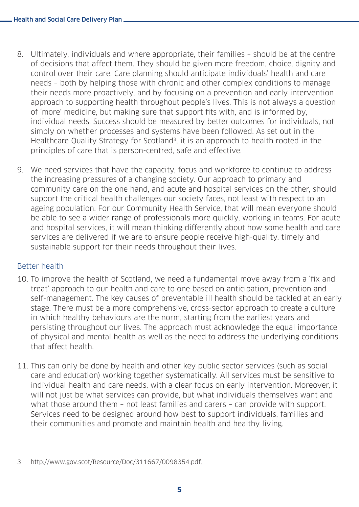- 8. Ultimately, individuals and where appropriate, their families should be at the centre of decisions that affect them. They should be given more freedom, choice, dignity and control over their care. Care planning should anticipate individuals' health and care needs – both by helping those with chronic and other complex conditions to manage their needs more proactively, and by focusing on a prevention and early intervention approach to supporting health throughout people's lives. This is not always a question of 'more' medicine, but making sure that support fits with, and is informed by, individual needs. Success should be measured by better outcomes for individuals, not simply on whether processes and systems have been followed. As set out in the Healthcare Quality Strategy for Scotland<sup>3</sup>, it is an approach to health rooted in the principles of care that is person-centred, safe and effective.
- 9. We need services that have the capacity, focus and workforce to continue to address the increasing pressures of a changing society. Our approach to primary and community care on the one hand, and acute and hospital services on the other, should support the critical health challenges our society faces, not least with respect to an ageing population. For our Community Health Service, that will mean everyone should be able to see a wider range of professionals more quickly, working in teams. For acute and hospital services, it will mean thinking differently about how some health and care services are delivered if we are to ensure people receive high-quality, timely and sustainable support for their needs throughout their lives.

#### Better health

- 10. To improve the health of Scotland, we need a fundamental move away from a 'fix and treat' approach to our health and care to one based on anticipation, prevention and self-management. The key causes of preventable ill health should be tackled at an early stage. There must be a more comprehensive, cross-sector approach to create a culture in which healthy behaviours are the norm, starting from the earliest years and persisting throughout our lives. The approach must acknowledge the equal importance of physical and mental health as well as the need to address the underlying conditions that affect health.
- 11. This can only be done by health and other key public sector services (such as social care and education) working together systematically. All services must be sensitive to individual health and care needs, with a clear focus on early intervention. Moreover, it will not just be what services can provide, but what individuals themselves want and what those around them – not least families and carers – can provide with support. Services need to be designed around how best to support individuals, families and their communities and promote and maintain health and healthy living.

<sup>3</sup> [http://www.gov.scot/Resource/Doc/311667/0098354.pdf.](http://www.gov.scot/Resource/Doc/311667/0098354.pdf)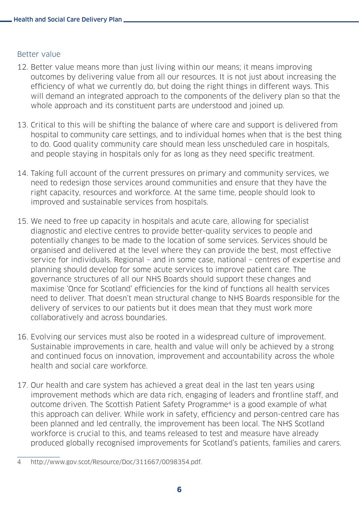#### Better value

- 12. Better value means more than just living within our means; it means improving outcomes by delivering value from all our resources. It is not just about increasing the efficiency of what we currently do, but doing the right things in different ways. This will demand an integrated approach to the components of the delivery plan so that the whole approach and its constituent parts are understood and joined up.
- 13. Critical to this will be shifting the balance of where care and support is delivered from hospital to community care settings, and to individual homes when that is the best thing to do. Good quality community care should mean less unscheduled care in hospitals, and people staying in hospitals only for as long as they need specific treatment.
- 14. Taking full account of the current pressures on primary and community services, we need to redesign those services around communities and ensure that they have the right capacity, resources and workforce. At the same time, people should look to improved and sustainable services from hospitals.
- 15. We need to free up capacity in hospitals and acute care, allowing for specialist diagnostic and elective centres to provide better-quality services to people and potentially changes to be made to the location of some services. Services should be organised and delivered at the level where they can provide the best, most effective service for individuals. Regional – and in some case, national – centres of expertise and planning should develop for some acute services to improve patient care. The governance structures of all our NHS Boards should support these changes and maximise 'Once for Scotland' efficiencies for the kind of functions all health services need to deliver. That doesn't mean structural change to NHS Boards responsible for the delivery of services to our patients but it does mean that they must work more collaboratively and across boundaries.
- 16. Evolving our services must also be rooted in a widespread culture of improvement. Sustainable improvements in care, health and value will only be achieved by a strong and continued focus on innovation, improvement and accountability across the whole health and social care workforce.
- 17. Our health and care system has achieved a great deal in the last ten years using improvement methods which are data rich, engaging of leaders and frontline staff, and outcome driven. The Scottish Patient Safety Programme4 is a good example of what this approach can deliver. While work in safety, efficiency and person-centred care has been planned and led centrally, the improvement has been local. The NHS Scotland workforce is crucial to this, and teams released to test and measure have already produced globally recognised improvements for Scotland's patients, families and carers.

<sup>4</sup> [http://www.gov.scot/Resource/Doc/311667/0098354.pdf.](http://www.scottishpatientsafetyprogramme.scot.nhs.uk)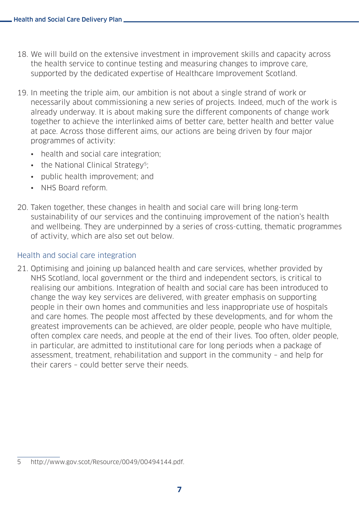- 18. We will build on the extensive investment in improvement skills and capacity across the health service to continue testing and measuring changes to improve care, supported by the dedicated expertise of Healthcare Improvement Scotland.
- 19. In meeting the triple aim, our ambition is not about a single strand of work or necessarily about commissioning a new series of projects. Indeed, much of the work is already underway. It is about making sure the different components of change work together to achieve the interlinked aims of better care, better health and better value at pace. Across those different aims, our actions are being driven by four major programmes of activity:
	- health and social care integration;
	- the National Clinical Strategy<sup>5</sup>:
	- public health improvement; and
	- NHS Board reform.
- 20. Taken together, these changes in health and social care will bring long-term sustainability of our services and the continuing improvement of the nation's health and wellbeing. They are underpinned by a series of cross-cutting, thematic programmes of activity, which are also set out below.

#### Health and social care integration

21. Optimising and joining up balanced health and care services, whether provided by NHS Scotland, local government or the third and independent sectors, is critical to realising our ambitions. Integration of health and social care has been introduced to change the way key services are delivered, with greater emphasis on supporting people in their own homes and communities and less inappropriate use of hospitals and care homes. The people most affected by these developments, and for whom the greatest improvements can be achieved, are older people, people who have multiple, often complex care needs, and people at the end of their lives. Too often, older people, in particular, are admitted to institutional care for long periods when a package of assessment, treatment, rehabilitation and support in the community – and help for their carers – could better serve their needs.

<sup>5</sup> [http://www.gov.scot/Resource/0049/00494144.pdf.](http://www.gov.scot/Resource/0049/00494144.pdf)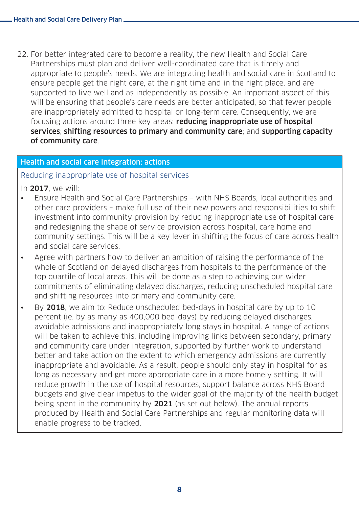22. For better integrated care to become a reality, the new Health and Social Care Partnerships must plan and deliver well-coordinated care that is timely and appropriate to people's needs. We are integrating health and social care in Scotland to ensure people get the right care, at the right time and in the right place, and are supported to live well and as independently as possible. An important aspect of this will be ensuring that people's care needs are better anticipated, so that fewer people are inappropriately admitted to hospital or long-term care. Consequently, we are focusing actions around three key areas: reducing inappropriate use of hospital services; shifting resources to primary and community care; and supporting capacity of community care.

#### Health and social care integration: actions

#### Reducing inappropriate use of hospital services

In 2017, we will:

- Ensure Health and Social Care Partnerships with NHS Boards, local authorities and other care providers – make full use of their new powers and responsibilities to shift investment into community provision by reducing inappropriate use of hospital care and redesigning the shape of service provision across hospital, care home and community settings. This will be a key lever in shifting the focus of care across health and social care services.
- Agree with partners how to deliver an ambition of raising the performance of the whole of Scotland on delayed discharges from hospitals to the performance of the top quartile of local areas. This will be done as a step to achieving our wider commitments of eliminating delayed discharges, reducing unscheduled hospital care and shifting resources into primary and community care.
- By 2018, we aim to: Reduce unscheduled bed-days in hospital care by up to 10 percent (ie. by as many as 400,000 bed-days) by reducing delayed discharges, avoidable admissions and inappropriately long stays in hospital. A range of actions will be taken to achieve this, including improving links between secondary, primary and community care under integration, supported by further work to understand better and take action on the extent to which emergency admissions are currently inappropriate and avoidable. As a result, people should only stay in hospital for as long as necessary and get more appropriate care in a more homely setting. It will reduce growth in the use of hospital resources, support balance across NHS Board budgets and give clear impetus to the wider goal of the majority of the health budget being spent in the community by 2021 (as set out below). The annual reports produced by Health and Social Care Partnerships and regular monitoring data will enable progress to be tracked.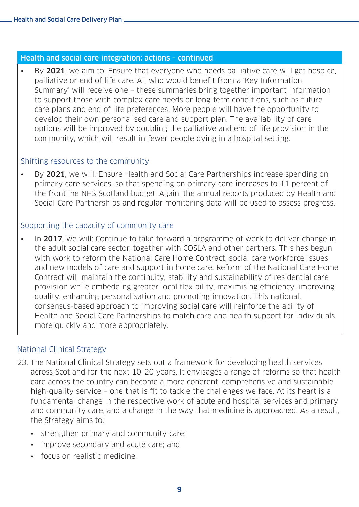#### Health and social care integration: actions – continued

By 2021, we aim to: Ensure that everyone who needs palliative care will get hospice. palliative or end of life care. All who would benefit from a 'Key Information Summary' will receive one – these summaries bring together important information to support those with complex care needs or long-term conditions, such as future care plans and end of life preferences. More people will have the opportunity to develop their own personalised care and support plan. The availability of care options will be improved by doubling the palliative and end of life provision in the community, which will result in fewer people dying in a hospital setting.

#### Shifting resources to the community

• By 2021, we will: Ensure Health and Social Care Partnerships increase spending on primary care services, so that spending on primary care increases to 11 percent of the frontline NHS Scotland budget. Again, the annual reports produced by Health and Social Care Partnerships and regular monitoring data will be used to assess progress.

#### Supporting the capacity of community care

• In 2017, we will: Continue to take forward a programme of work to deliver change in the adult social care sector, together with COSLA and other partners. This has begun with work to reform the National Care Home Contract, social care workforce issues and new models of care and support in home care. Reform of the National Care Home Contract will maintain the continuity, stability and sustainability of residential care provision while embedding greater local flexibility, maximising efficiency, improving quality, enhancing personalisation and promoting innovation. This national, consensus-based approach to improving social care will reinforce the ability of Health and Social Care Partnerships to match care and health support for individuals more quickly and more appropriately.

#### National Clinical Strategy

- 23. The National Clinical Strategy sets out a framework for developing health services across Scotland for the next 10-20 years. It envisages a range of reforms so that health care across the country can become a more coherent, comprehensive and sustainable high-quality service – one that is fit to tackle the challenges we face. At its heart is a fundamental change in the respective work of acute and hospital services and primary and community care, and a change in the way that medicine is approached. As a result, the Strategy aims to:
	- strengthen primary and community care;
	- improve secondary and acute care; and
	- focus on realistic medicine.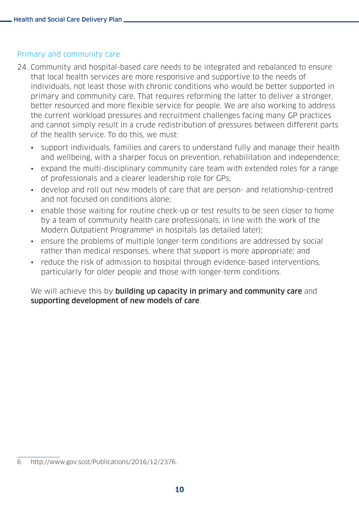#### Primary and community care

- 24. Community and hospital-based care needs to be integrated and rebalanced to ensure that local health services are more responsive and supportive to the needs of individuals, not least those with chronic conditions who would be better supported in primary and community care. That requires reforming the latter to deliver a stronger, better resourced and more flexible service for people. We are also working to address the current workload pressures and recruitment challenges facing many GP practices and cannot simply result in a crude redistribution of pressures between different parts of the health service. To do this, we must:
	- support individuals, families and carers to understand fully and manage their health and wellbeing, with a sharper focus on prevention, rehabilitation and independence;
	- expand the multi-disciplinary community care team with extended roles for a range of professionals and a clearer leadership role for GPs;
	- develop and roll out new models of care that are person- and relationship-centred and not focused on conditions alone;
	- enable those waiting for routine check-up or test results to be seen closer to home by a team of community health care professionals, in line with the work of the Modern Outpatient Programme<sup>6</sup> in hospitals (as detailed later);
	- ensure the problems of multiple longer-term conditions are addressed by social rather than medical responses, where that support is more appropriate; and
	- reduce the risk of admission to hospital through evidence-based interventions, particularly for older people and those with longer-term conditions.

We will achieve this by building up capacity in primary and community care and supporting development of new models of care.

<sup>6</sup> [http://www.gov.scot/Publications/2016/12/2376.](http://www.gov.scot/Publications/2016/12/2376)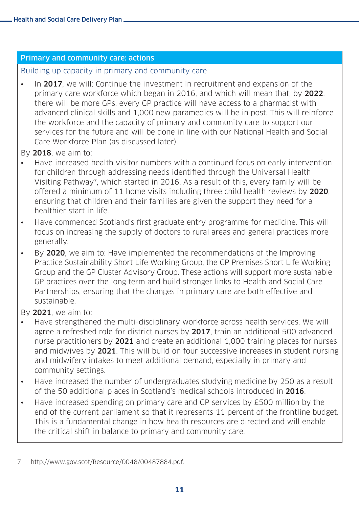#### Primary and community care: actions

Building up capacity in primary and community care

• In 2017, we will: Continue the investment in recruitment and expansion of the primary care workforce which began in 2016, and which will mean that, by 2022, there will be more GPs, every GP practice will have access to a pharmacist with advanced clinical skills and 1,000 new paramedics will be in post. This will reinforce the workforce and the capacity of primary and community care to support our services for the future and will be done in line with our National Health and Social Care Workforce Plan (as discussed later).

By 2018, we aim to:

- Have increased health visitor numbers with a continued focus on early intervention for children through addressing needs identified through the Universal Health Visiting Pathway7, which started in 2016. As a result of this, every family will be offered a minimum of 11 home visits including three child health reviews by 2020, ensuring that children and their families are given the support they need for a healthier start in life.
- Have commenced Scotland's first graduate entry programme for medicine. This will focus on increasing the supply of doctors to rural areas and general practices more generally.
- By 2020, we aim to: Have implemented the recommendations of the Improving Practice Sustainability Short Life Working Group, the GP Premises Short Life Working Group and the GP Cluster Advisory Group. These actions will support more sustainable GP practices over the long term and build stronger links to Health and Social Care Partnerships, ensuring that the changes in primary care are both effective and sustainable.

By 2021, we aim to:

- Have strengthened the multi-disciplinary workforce across health services. We will agree a refreshed role for district nurses by 2017, train an additional 500 advanced nurse practitioners by 2021 and create an additional 1,000 training places for nurses and midwives by 2021. This will build on four successive increases in student nursing and midwifery intakes to meet additional demand, especially in primary and community settings.
- Have increased the number of undergraduates studying medicine by 250 as a result of the 50 additional places in Scotland's medical schools introduced in 2016.
- Have increased spending on primary care and GP services by £500 million by the end of the current parliament so that it represents 11 percent of the frontline budget. This is a fundamental change in how health resources are directed and will enable the critical shift in balance to primary and community care.

<sup>7</sup> <http://www.gov.scot/Resource/0048/00487884.pdf>.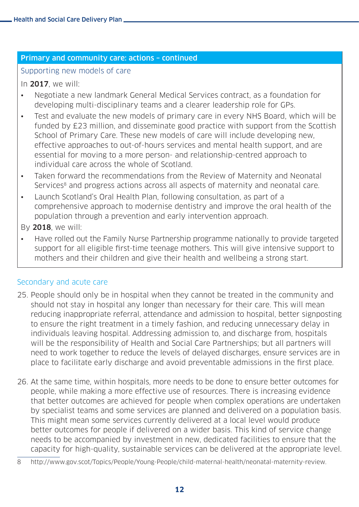#### Primary and community care: actions – continued

#### Supporting new models of care

#### In 2017, we will:

- Negotiate a new landmark General Medical Services contract, as a foundation for developing multi-disciplinary teams and a clearer leadership role for GPs.
- Test and evaluate the new models of primary care in every NHS Board, which will be funded by £23 million, and disseminate good practice with support from the Scottish School of Primary Care. These new models of care will include developing new, effective approaches to out-of-hours services and mental health support, and are essential for moving to a more person- and relationship-centred approach to individual care across the whole of Scotland.
- Taken forward the recommendations from the Review of Maternity and Neonatal Services<sup>8</sup> and progress actions across all aspects of maternity and neonatal care.
- Launch Scotland's Oral Health Plan, following consultation, as part of a comprehensive approach to modernise dentistry and improve the oral health of the population through a prevention and early intervention approach.

By 2018, we will:

• Have rolled out the Family Nurse Partnership programme nationally to provide targeted support for all eligible first-time teenage mothers. This will give intensive support to mothers and their children and give their health and wellbeing a strong start.

#### Secondary and acute care

- 25. People should only be in hospital when they cannot be treated in the community and should not stay in hospital any longer than necessary for their care. This will mean reducing inappropriate referral, attendance and admission to hospital, better signposting to ensure the right treatment in a timely fashion, and reducing unnecessary delay in individuals leaving hospital. Addressing admission to, and discharge from, hospitals will be the responsibility of Health and Social Care Partnerships; but all partners will need to work together to reduce the levels of delayed discharges, ensure services are in place to facilitate early discharge and avoid preventable admissions in the first place.
- 26. At the same time, within hospitals, more needs to be done to ensure better outcomes for people, while making a more effective use of resources. There is increasing evidence that better outcomes are achieved for people when complex operations are undertaken by specialist teams and some services are planned and delivered on a population basis. This might mean some services currently delivered at a local level would produce better outcomes for people if delivered on a wider basis. This kind of service change needs to be accompanied by investment in new, dedicated facilities to ensure that the capacity for high-quality, sustainable services can be delivered at the appropriate level.

<sup>8</sup> [http://www.gov.scot/Topics/People/Young-People/child-maternal-health/neonatal-](http://www.gov.scot/Topics/People/Young-People/child-maternal-health/neonatal-maternity-review)maternity-review.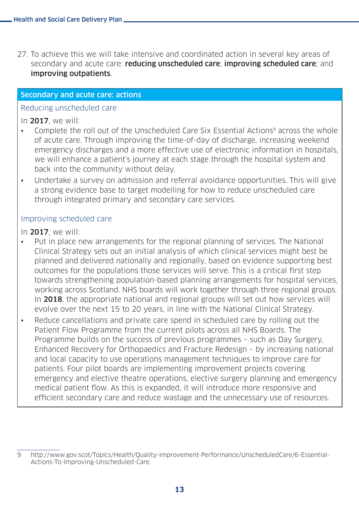27. To achieve this we will take intensive and coordinated action in several key areas of secondary and acute care: reducing unscheduled care; improving scheduled care; and improving outpatients.

#### Secondary and acute care: actions

#### Reducing unscheduled care

#### In 2017, we will:

- Complete the roll out of the Unscheduled Care Six Essential Actions<sup>9</sup> across the whole of acute care. Through improving the time-of-day of discharge, increasing weekend emergency discharges and a more effective use of electronic information in hospitals, we will enhance a patient's journey at each stage through the hospital system and back into the community without delay.
- Undertake a survey on admission and referral avoidance opportunities. This will give a strong evidence base to target modelling for how to reduce unscheduled care through integrated primary and secondary care services.

#### Improving scheduled care

#### In 2017, we will:

- Put in place new arrangements for the regional planning of services. The National Clinical Strategy sets out an initial analysis of which clinical services might best be planned and delivered nationally and regionally, based on evidence supporting best outcomes for the populations those services will serve. This is a critical first step towards strengthening population-based planning arrangements for hospital services, working across Scotland. NHS boards will work together through three regional groups. In 2018, the appropriate national and regional groups will set out how services will evolve over the next 15 to 20 years, in line with the National Clinical Strategy.
- Reduce cancellations and private care spend in scheduled care by rolling out the Patient Flow Programme from the current pilots across all NHS Boards. The Programme builds on the success of previous programmes – such as Day Surgery, Enhanced Recovery for Orthopaedics and Fracture Redesign – by increasing national and local capacity to use operations management techniques to improve care for patients. Four pilot boards are implementing improvement projects covering emergency and elective theatre operations, elective surgery planning and emergency medical patient flow. As this is expanded, it will introduce more responsive and efficient secondary care and reduce wastage and the unnecessary use of resources.

<sup>9</sup> [http://www.gov.scot/Topics/Health/Quality-Improvement-Performance/UnscheduledCare/](http://www.gov.scot/Topics/Health/Quality-Improvement-Performance/UnscheduledCare/6-Essential-Actions-To-Improving-Unscheduled-Care)6-Essential-Actions-To-Improving-Unscheduled-Care.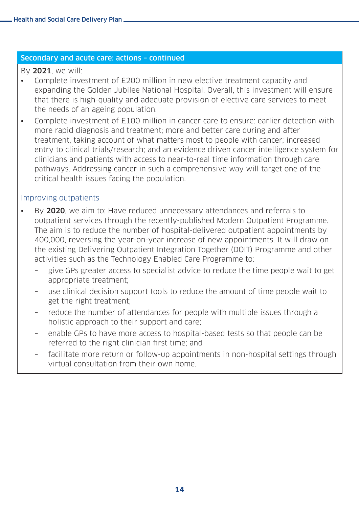#### Secondary and acute care: actions – continued

By 2021, we will:

- Complete investment of £200 million in new elective treatment capacity and expanding the Golden Jubilee National Hospital. Overall, this investment will ensure that there is high-quality and adequate provision of elective care services to meet the needs of an ageing population.
- Complete investment of £100 million in cancer care to ensure: earlier detection with more rapid diagnosis and treatment; more and better care during and after treatment, taking account of what matters most to people with cancer; increased entry to clinical trials/research; and an evidence driven cancer intelligence system for clinicians and patients with access to near-to-real time information through care pathways. Addressing cancer in such a comprehensive way will target one of the critical health issues facing the population.

#### Improving outpatients

- By 2020, we aim to: Have reduced unnecessary attendances and referrals to outpatient services through the recently-published Modern Outpatient Programme. The aim is to reduce the number of hospital-delivered outpatient appointments by 400,000, reversing the year-on-year increase of new appointments. It will draw on the existing Delivering Outpatient Integration Together (DOIT) Programme and other activities such as the Technology Enabled Care Programme to:
	- give GPs greater access to specialist advice to reduce the time people wait to get appropriate treatment;
	- use clinical decision support tools to reduce the amount of time people wait to get the right treatment;
	- reduce the number of attendances for people with multiple issues through a holistic approach to their support and care;
	- enable GPs to have more access to hospital-based tests so that people can be referred to the right clinician first time; and
	- facilitate more return or follow-up appointments in non-hospital settings through virtual consultation from their own home.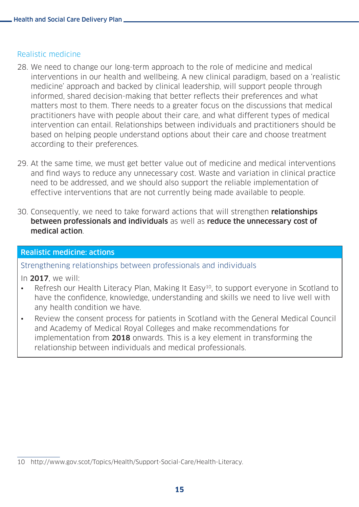#### Realistic medicine

- 28. We need to change our long-term approach to the role of medicine and medical interventions in our health and wellbeing. A new clinical paradigm, based on a 'realistic medicine' approach and backed by clinical leadership, will support people through informed, shared decision-making that better reflects their preferences and what matters most to them. There needs to a greater focus on the discussions that medical practitioners have with people about their care, and what different types of medical intervention can entail. Relationships between individuals and practitioners should be based on helping people understand options about their care and choose treatment according to their preferences.
- 29. At the same time, we must get better value out of medicine and medical interventions and find ways to reduce any unnecessary cost. Waste and variation in clinical practice need to be addressed, and we should also support the reliable implementation of effective interventions that are not currently being made available to people.
- 30. Consequently, we need to take forward actions that will strengthen **relationships** between professionals and individuals as well as reduce the unnecessary cost of medical action.

#### Realistic medicine: actions

Strengthening relationships between professionals and individuals

- In 2017, we will:
- Refresh our Health Literacy Plan, Making It Easy<sup>10</sup>, to support everyone in Scotland to have the confidence, knowledge, understanding and skills we need to live well with any health condition we have.
- Review the consent process for patients in Scotland with the General Medical Council and Academy of Medical Royal Colleges and make recommendations for implementation from 2018 onwards. This is a key element in transforming the relationship between individuals and medical professionals.

<sup>10</sup> [http://www.gov.scot/Topics/Health/Support-Social-Care/Health-](http://www.gov.scot/Topics/Health/Support-Social-Care/Health-Literacy)Literacy.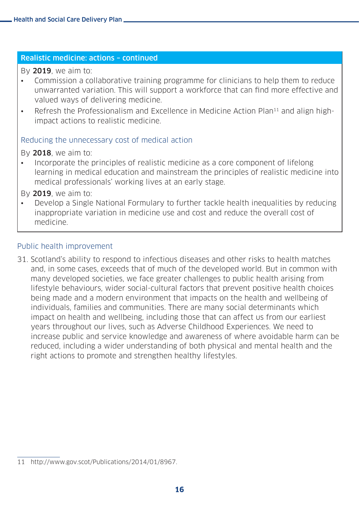#### Realistic medicine: actions – continued

By 2019, we aim to:

- Commission a collaborative training programme for clinicians to help them to reduce unwarranted variation. This will support a workforce that can find more effective and valued ways of delivering medicine.
- Refresh the Professionalism and Excellence in Medicine Action Plan<sup>11</sup> and align highimpact actions to realistic medicine.

#### Reducing the unnecessary cost of medical action

By 2018, we aim to:

• Incorporate the principles of realistic medicine as a core component of lifelong learning in medical education and mainstream the principles of realistic medicine into medical professionals' working lives at an early stage.

By 2019, we aim to:

• Develop a Single National Formulary to further tackle health inequalities by reducing inappropriate variation in medicine use and cost and reduce the overall cost of medicine.

#### Public health improvement

31. Scotland's ability to respond to infectious diseases and other risks to health matches and, in some cases, exceeds that of much of the developed world. But in common with many developed societies, we face greater challenges to public health arising from lifestyle behaviours, wider social-cultural factors that prevent positive health choices being made and a modern environment that impacts on the health and wellbeing of individuals, families and communities. There are many social determinants which impact on health and wellbeing, including those that can affect us from our earliest years throughout our lives, such as Adverse Childhood Experiences. We need to increase public and service knowledge and awareness of where avoidable harm can be reduced, including a wider understanding of both physical and mental health and the right actions to promote and strengthen healthy lifestyles.

<sup>11</sup> [http://www.gov.scot/Publications/2014/01/8967.](http://www.gov.scot/Publications/2014/01/8967)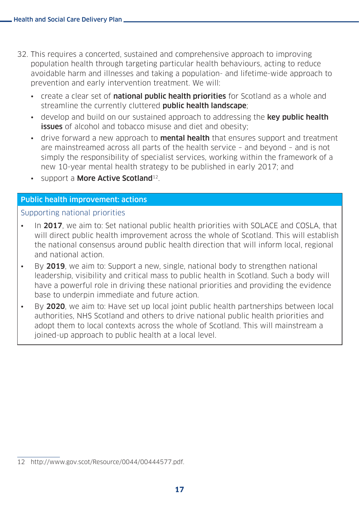- 32. This requires a concerted, sustained and comprehensive approach to improving population health through targeting particular health behaviours, acting to reduce avoidable harm and illnesses and taking a population- and lifetime-wide approach to prevention and early intervention treatment. We will:
	- create a clear set of national public health priorities for Scotland as a whole and streamline the currently cluttered **public health landscape**;
	- develop and build on our sustained approach to addressing the key public health **issues** of alcohol and tobacco misuse and diet and obesity;
	- drive forward a new approach to **mental health** that ensures support and treatment are mainstreamed across all parts of the health service – and beyond – and is not simply the responsibility of specialist services, working within the framework of a new 10-year mental health strategy to be published in early 2017; and
	- support a **More Active Scotland**<sup>12</sup>.

#### Public health improvement: actions

#### Supporting national priorities

- In 2017, we aim to: Set national public health priorities with SOLACE and COSLA, that will direct public health improvement across the whole of Scotland. This will establish the national consensus around public health direction that will inform local, regional and national action.
- By 2019, we aim to: Support a new, single, national body to strengthen national leadership, visibility and critical mass to public health in Scotland. Such a body will have a powerful role in driving these national priorities and providing the evidence base to underpin immediate and future action.
- By 2020, we aim to: Have set up local joint public health partnerships between local authorities, NHS Scotland and others to drive national public health priorities and adopt them to local contexts across the whole of Scotland. This will mainstream a joined-up approach to public health at a local level.

<sup>12</sup> [http://www.gov.scot/Resource/0044/00444577.pdf.](http://www.gov.scot/Resource/0044/00444577.pdf)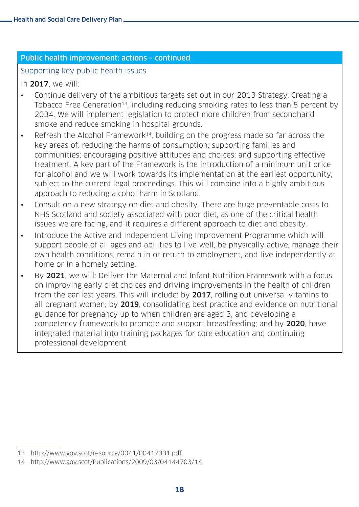#### Public health improvement: actions – continued

#### Supporting key public health issues

In 2017, we will:

- Continue delivery of the ambitious targets set out in our 2013 Strategy, Creating a Tobacco Free Generation<sup>13</sup>, including reducing smoking rates to less than 5 percent by 2034. We will implement legislation to protect more children from secondhand smoke and reduce smoking in hospital grounds.
- Refresh the Alcohol Framework<sup>14</sup>, building on the progress made so far across the key areas of: reducing the harms of consumption; supporting families and communities; encouraging positive attitudes and choices; and supporting effective treatment. A key part of the Framework is the introduction of a minimum unit price for alcohol and we will work towards its implementation at the earliest opportunity, subject to the current legal proceedings. This will combine into a highly ambitious approach to reducing alcohol harm in Scotland.
- Consult on a new strategy on diet and obesity. There are huge preventable costs to NHS Scotland and society associated with poor diet, as one of the critical health issues we are facing, and it requires a different approach to diet and obesity.
- Introduce the Active and Independent Living Improvement Programme which will support people of all ages and abilities to live well, be physically active, manage their own health conditions, remain in or return to employment, and live independently at home or in a homely setting.
- By 2021, we will: Deliver the Maternal and Infant Nutrition Framework with a focus on improving early diet choices and driving improvements in the health of children from the earliest years. This will include: by 2017, rolling out universal vitamins to all pregnant women; by 2019, consolidating best practice and evidence on nutritional guidance for pregnancy up to when children are aged 3, and developing a competency framework to promote and support breastfeeding; and by 2020, have integrated material into training packages for core education and continuing professional development.

<sup>13</sup> <http://www.gov.scot/resource/0041/00417331.pdf>.

<sup>14</sup> <http://www.gov.scot/Publications/2009/03/04144703/14>.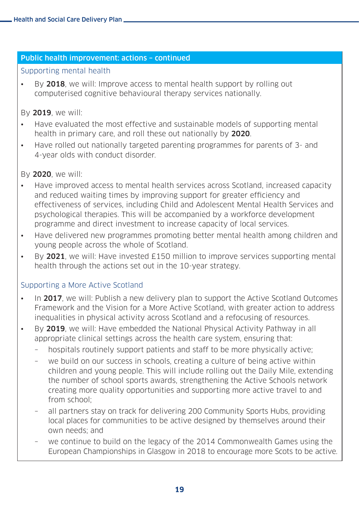#### Public health improvement: actions – continued

#### Supporting mental health

• By 2018, we will: Improve access to mental health support by rolling out computerised cognitive behavioural therapy services nationally.

#### By 2019, we will:

- Have evaluated the most effective and sustainable models of supporting mental health in primary care, and roll these out nationally by 2020.
- Have rolled out nationally targeted parenting programmes for parents of 3- and 4-year olds with conduct disorder.

#### By 2020, we will:

- Have improved access to mental health services across Scotland, increased capacity and reduced waiting times by improving support for greater efficiency and effectiveness of services, including Child and Adolescent Mental Health Services and psychological therapies. This will be accompanied by a workforce development programme and direct investment to increase capacity of local services.
- Have delivered new programmes promoting better mental health among children and young people across the whole of Scotland.
- By 2021, we will: Have invested £150 million to improve services supporting mental health through the actions set out in the 10-year strategy.

#### Supporting a More Active Scotland

- In 2017, we will: Publish a new delivery plan to support the Active Scotland Outcomes Framework and the Vision for a More Active Scotland, with greater action to address inequalities in physical activity across Scotland and a refocusing of resources.
- By 2019, we will: Have embedded the National Physical Activity Pathway in all appropriate clinical settings across the health care system, ensuring that:
	- hospitals routinely support patients and staff to be more physically active;
	- we build on our success in schools, creating a culture of being active within children and young people. This will include rolling out the Daily Mile, extending the number of school sports awards, strengthening the Active Schools network creating more quality opportunities and supporting more active travel to and from school;
	- all partners stay on track for delivering 200 Community Sports Hubs, providing local places for communities to be active designed by themselves around their own needs; and
	- we continue to build on the legacy of the 2014 Commonwealth Games using the European Championships in Glasgow in 2018 to encourage more Scots to be active.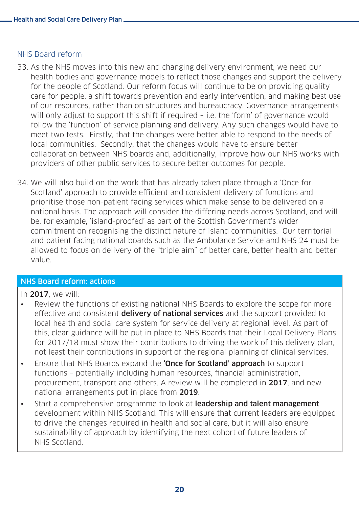#### NHS Board reform

- 33. As the NHS moves into this new and changing delivery environment, we need our health bodies and governance models to reflect those changes and support the delivery for the people of Scotland. Our reform focus will continue to be on providing quality care for people, a shift towards prevention and early intervention, and making best use of our resources, rather than on structures and bureaucracy. Governance arrangements will only adjust to support this shift if required - i.e. the 'form' of governance would follow the 'function' of service planning and delivery. Any such changes would have to meet two tests. Firstly, that the changes were better able to respond to the needs of local communities. Secondly, that the changes would have to ensure better collaboration between NHS boards and, additionally, improve how our NHS works with providers of other public services to secure better outcomes for people.
- 34. We will also build on the work that has already taken place through a 'Once for Scotland' approach to provide efficient and consistent delivery of functions and prioritise those non-patient facing services which make sense to be delivered on a national basis. The approach will consider the differing needs across Scotland, and will be, for example, 'island-proofed' as part of the Scottish Government's wider commitment on recognising the distinct nature of island communities. Our territorial and patient facing national boards such as the Ambulance Service and NHS 24 must be allowed to focus on delivery of the "triple aim" of better care, better health and better value.

#### NHS Board reform: actions

#### In 2017, we will:

- Review the functions of existing national NHS Boards to explore the scope for more effective and consistent **delivery of national services** and the support provided to local health and social care system for service delivery at regional level. As part of this, clear guidance will be put in place to NHS Boards that their Local Delivery Plans for 2017/18 must show their contributions to driving the work of this delivery plan, not least their contributions in support of the regional planning of clinical services.
- Ensure that NHS Boards expand the **'Once for Scotland' approach** to support functions – potentially including human resources, financial administration, procurement, transport and others. A review will be completed in 2017, and new national arrangements put in place from 2019.
- Start a comprehensive programme to look at **leadership and talent management** development within NHS Scotland. This will ensure that current leaders are equipped to drive the changes required in health and social care, but it will also ensure sustainability of approach by identifying the next cohort of future leaders of NHS Scotland.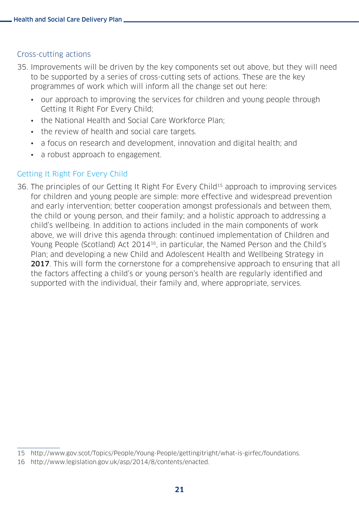#### Cross-cutting actions

- 35. Improvements will be driven by the key components set out above, but they will need to be supported by a series of cross-cutting sets of actions. These are the key programmes of work which will inform all the change set out here:
	- our approach to improving the services for children and young people through Getting It Right For Every Child;
	- the National Health and Social Care Workforce Plan;
	- the review of health and social care targets.
	- a focus on research and development, innovation and digital health; and
	- a robust approach to engagement.

#### Getting It Right For Every Child

36. The principles of our Getting It Right For Every Child<sup>15</sup> approach to improving services for children and young people are simple: more effective and widespread prevention and early intervention; better cooperation amongst professionals and between them, the child or young person, and their family; and a holistic approach to addressing a child's wellbeing. In addition to actions included in the main components of work above, we will drive this agenda through: continued implementation of Children and Young People (Scotland) Act 201416, in particular, the Named Person and the Child's Plan; and developing a new Child and Adolescent Health and Wellbeing Strategy in **2017**. This will form the cornerstone for a comprehensive approach to ensuring that all the factors affecting a child's or young person's health are regularly identified and supported with the individual, their family and, where appropriate, services.

<sup>15</sup> [http://www.gov.scot/Topics/People/Young-People/gettingitright/what-is-girfec/foundations.](http://www.gov.scot/Topics/People/Young-People/gettingitright/what-is-girfec/foundations)

<sup>16</sup> [http://www.legislation.gov.uk/asp/2014/8/contents/enacted.](http://www.legislation.gov.uk/asp/2014/8/contents/enacted)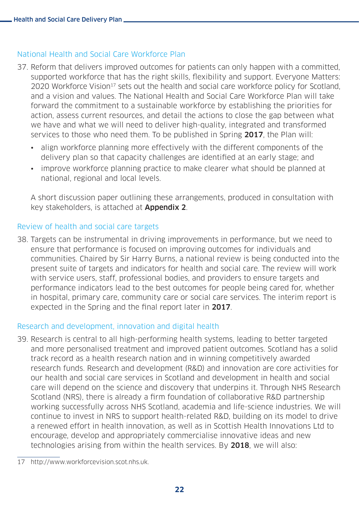#### National Health and Social Care Workforce Plan

- 37. Reform that delivers improved outcomes for patients can only happen with a committed, supported workforce that has the right skills, flexibility and support. Everyone Matters: 2020 Workforce Vision<sup>17</sup> sets out the health and social care workforce policy for Scotland. and a vision and values. The National Health and Social Care Workforce Plan will take forward the commitment to a sustainable workforce by establishing the priorities for action, assess current resources, and detail the actions to close the gap between what we have and what we will need to deliver high-quality, integrated and transformed services to those who need them. To be published in Spring 2017, the Plan will:
	- align workforce planning more effectively with the different components of the delivery plan so that capacity challenges are identified at an early stage; and
	- improve workforce planning practice to make clearer what should be planned at national, regional and local levels.

A short discussion paper outlining these arrangements, produced in consultation with key stakeholders, is attached at **Appendix 2**.

#### Review of health and social care targets

38. Targets can be instrumental in driving improvements in performance, but we need to ensure that performance is focused on improving outcomes for individuals and communities. Chaired by Sir Harry Burns, a national review is being conducted into the present suite of targets and indicators for health and social care. The review will work with service users, staff, professional bodies, and providers to ensure targets and performance indicators lead to the best outcomes for people being cared for, whether in hospital, primary care, community care or social care services. The interim report is expected in the Spring and the final report later in 2017.

#### Research and development, innovation and digital health

39. Research is central to all high-performing health systems, leading to better targeted and more personalised treatment and improved patient outcomes. Scotland has a solid track record as a health research nation and in winning competitively awarded research funds. Research and development (R&D) and innovation are core activities for our health and social care services in Scotland and development in health and social care will depend on the science and discovery that underpins it. Through NHS Research Scotland (NRS), there is already a firm foundation of collaborative R&D partnership working successfully across NHS Scotland, academia and life-science industries. We will continue to invest in NRS to support health-related R&D, building on its model to drive a renewed effort in health innovation, as well as in Scottish Health Innovations Ltd to encourage, develop and appropriately commercialise innovative ideas and new technologies arising from within the health services. By 2018, we will also:

<sup>17</sup> <http://www.workforcevision.scot.nhs.uk.>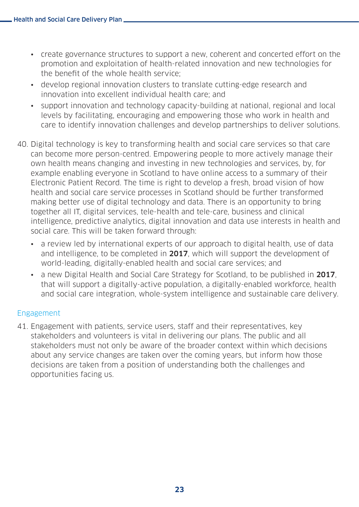- create governance structures to support a new, coherent and concerted effort on the promotion and exploitation of health-related innovation and new technologies for the benefit of the whole health service;
- develop regional innovation clusters to translate cutting-edge research and innovation into excellent individual health care; and
- support innovation and technology capacity-building at national, regional and local levels by facilitating, encouraging and empowering those who work in health and care to identify innovation challenges and develop partnerships to deliver solutions.
- 40. Digital technology is key to transforming health and social care services so that care can become more person-centred. Empowering people to more actively manage their own health means changing and investing in new technologies and services, by, for example enabling everyone in Scotland to have online access to a summary of their Electronic Patient Record. The time is right to develop a fresh, broad vision of how health and social care service processes in Scotland should be further transformed making better use of digital technology and data. There is an opportunity to bring together all IT, digital services, tele-health and tele-care, business and clinical intelligence, predictive analytics, digital innovation and data use interests in health and social care. This will be taken forward through:
	- a review led by international experts of our approach to digital health, use of data and intelligence, to be completed in 2017, which will support the development of world-leading, digitally-enabled health and social care services; and
	- a new Digital Health and Social Care Strategy for Scotland, to be published in 2017. that will support a digitally-active population, a digitally-enabled workforce, health and social care integration, whole-system intelligence and sustainable care delivery.

#### Engagement

41. Engagement with patients, service users, staff and their representatives, key stakeholders and volunteers is vital in delivering our plans. The public and all stakeholders must not only be aware of the broader context within which decisions about any service changes are taken over the coming years, but inform how those decisions are taken from a position of understanding both the challenges and opportunities facing us.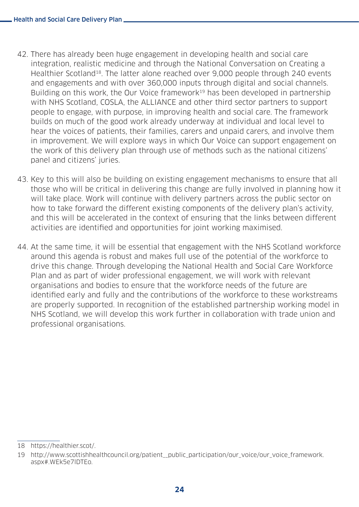- 42. There has already been huge engagement in developing health and social care integration, realistic medicine and through the National Conversation on Creating a Healthier Scotland18. The latter alone reached over 9,000 people through 240 events and engagements and with over 360,000 inputs through digital and social channels. Building on this work, the Our Voice framework<sup>19</sup> has been developed in partnership with NHS Scotland, COSLA, the ALLIANCE and other third sector partners to support people to engage, with purpose, in improving health and social care. The framework builds on much of the good work already underway at individual and local level to hear the voices of patients, their families, carers and unpaid carers, and involve them in improvement. We will explore ways in which Our Voice can support engagement on the work of this delivery plan through use of methods such as the national citizens' panel and citizens' juries.
- 43. Key to this will also be building on existing engagement mechanisms to ensure that all those who will be critical in delivering this change are fully involved in planning how it will take place. Work will continue with delivery partners across the public sector on how to take forward the different existing components of the delivery plan's activity, and this will be accelerated in the context of ensuring that the links between different activities are identified and opportunities for joint working maximised.
- 44. At the same time, it will be essential that engagement with the NHS Scotland workforce around this agenda is robust and makes full use of the potential of the workforce to drive this change. Through developing the National Health and Social Care Workforce Plan and as part of wider professional engagement, we will work with relevant organisations and bodies to ensure that the workforce needs of the future are identified early and fully and the contributions of the workforce to these workstreams are properly supported. In recognition of the established partnership working model in NHS Scotland, we will develop this work further in collaboration with trade union and professional organisations.

<sup>18</sup> <https://healthier.scot>/.

<sup>19</sup> [http://www.scottishhealthcouncil.org/patient\\_\\_public\\_participation/our\\_voice/our\\_voice\\_framework.](http://www.scottishhealthcouncil.org/patient__public_participation/our_voice/our_voice_framework.aspx#.WEk5e7lDTEo) [aspx#.WEk5e7lDTEo.](http://www.scottishhealthcouncil.org/patient__public_participation/our_voice/our_voice_framework.aspx#.WEk5e7lDTEo)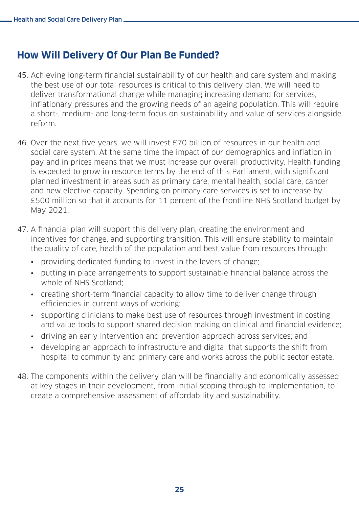## **How Will Delivery Of Our Plan Be Funded?**

- 45. Achieving long-term financial sustainability of our health and care system and making the best use of our total resources is critical to this delivery plan. We will need to deliver transformational change while managing increasing demand for services, inflationary pressures and the growing needs of an ageing population. This will require a short-, medium- and long-term focus on sustainability and value of services alongside reform.
- 46. Over the next five years, we will invest £70 billion of resources in our health and social care system. At the same time the impact of our demographics and inflation in pay and in prices means that we must increase our overall productivity. Health funding is expected to grow in resource terms by the end of this Parliament, with significant planned investment in areas such as primary care, mental health, social care, cancer and new elective capacity. Spending on primary care services is set to increase by £500 million so that it accounts for 11 percent of the frontline NHS Scotland budget by May 2021.
- 47. A financial plan will support this delivery plan, creating the environment and incentives for change, and supporting transition. This will ensure stability to maintain the quality of care, health of the population and best value from resources through:
	- providing dedicated funding to invest in the levers of change;
	- putting in place arrangements to support sustainable financial balance across the whole of NHS Scotland;
	- creating short-term financial capacity to allow time to deliver change through efficiencies in current ways of working;
	- supporting clinicians to make best use of resources through investment in costing and value tools to support shared decision making on clinical and financial evidence;
	- driving an early intervention and prevention approach across services; and
	- developing an approach to infrastructure and digital that supports the shift from hospital to community and primary care and works across the public sector estate.
- 48. The components within the delivery plan will be financially and economically assessed at key stages in their development, from initial scoping through to implementation, to create a comprehensive assessment of affordability and sustainability.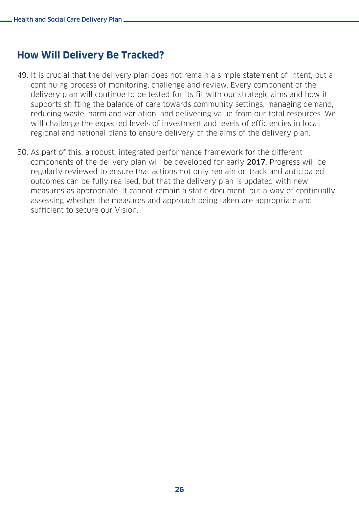## **How Will Delivery Be Tracked?**

- 49. It is crucial that the delivery plan does not remain a simple statement of intent, but a continuing process of monitoring, challenge and review. Every component of the delivery plan will continue to be tested for its fit with our strategic aims and how it supports shifting the balance of care towards community settings, managing demand, reducing waste, harm and variation, and delivering value from our total resources. We will challenge the expected levels of investment and levels of efficiencies in local, regional and national plans to ensure delivery of the aims of the delivery plan.
- 50. As part of this, a robust, integrated performance framework for the different components of the delivery plan will be developed for early 2017. Progress will be regularly reviewed to ensure that actions not only remain on track and anticipated outcomes can be fully realised, but that the delivery plan is updated with new measures as appropriate. It cannot remain a static document, but a way of continually assessing whether the measures and approach being taken are appropriate and sufficient to secure our Vision.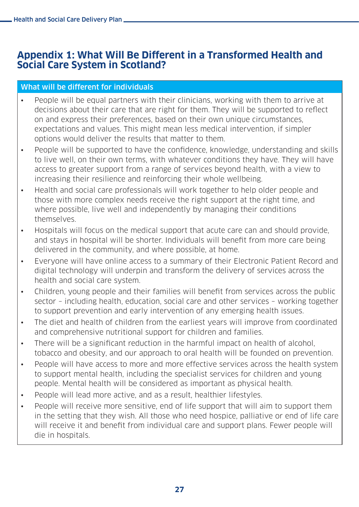## **Appendix 1: What Will Be Different in a Transformed Health and Social Care System in Scotland?**

#### What will be different for individuals

- People will be equal partners with their clinicians, working with them to arrive at decisions about their care that are right for them. They will be supported to reflect on and express their preferences, based on their own unique circumstances, expectations and values. This might mean less medical intervention, if simpler options would deliver the results that matter to them.
- People will be supported to have the confidence, knowledge, understanding and skills to live well, on their own terms, with whatever conditions they have. They will have access to greater support from a range of services beyond health, with a view to increasing their resilience and reinforcing their whole wellbeing.
- Health and social care professionals will work together to help older people and those with more complex needs receive the right support at the right time, and where possible, live well and independently by managing their conditions themselves.
- Hospitals will focus on the medical support that acute care can and should provide, and stays in hospital will be shorter. Individuals will benefit from more care being delivered in the community, and where possible, at home.
- Everyone will have online access to a summary of their Electronic Patient Record and digital technology will underpin and transform the delivery of services across the health and social care system.
- Children, young people and their families will benefit from services across the public sector – including health, education, social care and other services – working together to support prevention and early intervention of any emerging health issues.
- The diet and health of children from the earliest years will improve from coordinated and comprehensive nutritional support for children and families.
- There will be a significant reduction in the harmful impact on health of alcohol, tobacco and obesity, and our approach to oral health will be founded on prevention.
- People will have access to more and more effective services across the health system to support mental health, including the specialist services for children and young people. Mental health will be considered as important as physical health.
- People will lead more active, and as a result, healthier lifestyles.
- People will receive more sensitive, end of life support that will aim to support them in the setting that they wish. All those who need hospice, palliative or end of life care will receive it and benefit from individual care and support plans. Fewer people will die in hospitals.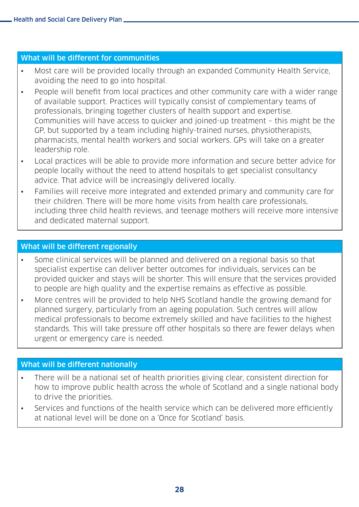#### What will be different for communities

- Most care will be provided locally through an expanded Community Health Service, avoiding the need to go into hospital.
- People will benefit from local practices and other community care with a wider range of available support. Practices will typically consist of complementary teams of professionals, bringing together clusters of health support and expertise. Communities will have access to quicker and joined-up treatment – this might be the GP, but supported by a team including highly-trained nurses, physiotherapists, pharmacists, mental health workers and social workers. GPs will take on a greater leadership role.
- Local practices will be able to provide more information and secure better advice for people locally without the need to attend hospitals to get specialist consultancy advice. That advice will be increasingly delivered locally.
- Families will receive more integrated and extended primary and community care for their children. There will be more home visits from health care professionals, including three child health reviews, and teenage mothers will receive more intensive and dedicated maternal support.

#### What will be different regionally

- Some clinical services will be planned and delivered on a regional basis so that specialist expertise can deliver better outcomes for individuals, services can be provided quicker and stays will be shorter. This will ensure that the services provided to people are high quality and the expertise remains as effective as possible.
- More centres will be provided to help NHS Scotland handle the growing demand for planned surgery, particularly from an ageing population. Such centres will allow medical professionals to become extremely skilled and have facilities to the highest standards. This will take pressure off other hospitals so there are fewer delays when urgent or emergency care is needed.

#### What will be different nationally

- There will be a national set of health priorities giving clear, consistent direction for how to improve public health across the whole of Scotland and a single national body to drive the priorities.
- Services and functions of the health service which can be delivered more efficiently at national level will be done on a 'Once for Scotland' basis.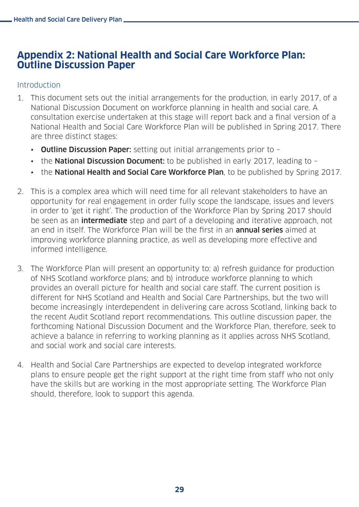### **Appendix 2: National Health and Social Care Workforce Plan: Outline Discussion Paper**

#### **Introduction**

- 1. This document sets out the initial arrangements for the production, in early 2017, of a National Discussion Document on workforce planning in health and social care. A consultation exercise undertaken at this stage will report back and a final version of a National Health and Social Care Workforce Plan will be published in Spring 2017. There are three distinct stages:
	- Outline Discussion Paper: setting out initial arrangements prior to -
	- the **National Discussion Document:** to be published in early 2017, leading to -
	- the National Health and Social Care Workforce Plan, to be published by Spring 2017.
- 2. This is a complex area which will need time for all relevant stakeholders to have an opportunity for real engagement in order fully scope the landscape, issues and levers in order to 'get it right'. The production of the Workforce Plan by Spring 2017 should be seen as an **intermediate** step and part of a developing and iterative approach, not an end in itself. The Workforce Plan will be the first in an **annual series** aimed at improving workforce planning practice, as well as developing more effective and informed intelligence.
- 3. The Workforce Plan will present an opportunity to: a) refresh guidance for production of NHS Scotland workforce plans; and b) introduce workforce planning to which provides an overall picture for health and social care staff. The current position is different for NHS Scotland and Health and Social Care Partnerships, but the two will become increasingly interdependent in delivering care across Scotland, linking back to the recent Audit Scotland report recommendations. This outline discussion paper, the forthcoming National Discussion Document and the Workforce Plan, therefore, seek to achieve a balance in referring to working planning as it applies across NHS Scotland, and social work and social care interests.
- 4. Health and Social Care Partnerships are expected to develop integrated workforce plans to ensure people get the right support at the right time from staff who not only have the skills but are working in the most appropriate setting. The Workforce Plan should, therefore, look to support this agenda.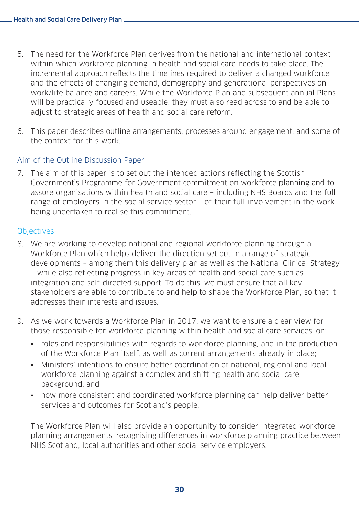- 5. The need for the Workforce Plan derives from the national and international context within which workforce planning in health and social care needs to take place. The incremental approach reflects the timelines required to deliver a changed workforce and the effects of changing demand, demography and generational perspectives on work/life balance and careers. While the Workforce Plan and subsequent annual Plans will be practically focused and useable, they must also read across to and be able to adjust to strategic areas of health and social care reform.
- 6. This paper describes outline arrangements, processes around engagement, and some of the context for this work.

#### Aim of the Outline Discussion Paper

7. The aim of this paper is to set out the intended actions reflecting the Scottish Government's Programme for Government commitment on workforce planning and to assure organisations within health and social care – including NHS Boards and the full range of employers in the social service sector – of their full involvement in the work being undertaken to realise this commitment.

#### **Objectives**

- 8. We are working to develop national and regional workforce planning through a Workforce Plan which helps deliver the direction set out in a range of strategic developments – among them this delivery plan as well as the National Clinical Strategy – while also reflecting progress in key areas of health and social care such as integration and self-directed support. To do this, we must ensure that all key stakeholders are able to contribute to and help to shape the Workforce Plan, so that it addresses their interests and issues.
- 9. As we work towards a Workforce Plan in 2017, we want to ensure a clear view for those responsible for workforce planning within health and social care services, on:
	- roles and responsibilities with regards to workforce planning, and in the production of the Workforce Plan itself, as well as current arrangements already in place;
	- Ministers' intentions to ensure better coordination of national, regional and local workforce planning against a complex and shifting health and social care background; and
	- how more consistent and coordinated workforce planning can help deliver better services and outcomes for Scotland's people.

The Workforce Plan will also provide an opportunity to consider integrated workforce planning arrangements, recognising differences in workforce planning practice between NHS Scotland, local authorities and other social service employers.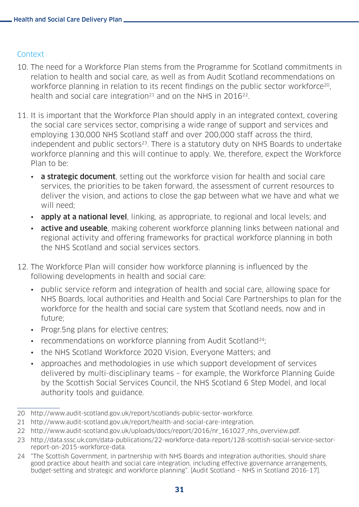#### Context

- 10. The need for a Workforce Plan stems from the Programme for Scotland commitments in relation to health and social care, as well as from Audit Scotland recommendations on workforce planning in relation to its recent findings on the public sector workforce<sup>20</sup>, health and social care integration<sup>21</sup> and on the NHS in  $2016^{22}$ .
- 11. It is important that the Workforce Plan should apply in an integrated context, covering the social care services sector, comprising a wide range of support and services and employing 130,000 NHS Scotland staff and over 200,000 staff across the third, independent and public sectors<sup>23</sup>. There is a statutory duty on NHS Boards to undertake workforce planning and this will continue to apply. We, therefore, expect the Workforce Plan to be:
	- **a strategic document**, setting out the workforce vision for health and social care services, the priorities to be taken forward, the assessment of current resources to deliver the vision, and actions to close the gap between what we have and what we will need;
	- apply at a national level, linking, as appropriate, to regional and local levels; and
	- active and useable, making coherent workforce planning links between national and regional activity and offering frameworks for practical workforce planning in both the NHS Scotland and social services sectors.
- 12. The Workforce Plan will consider how workforce planning is influenced by the following developments in health and social care:
	- public service reform and integration of health and social care, allowing space for NHS Boards, local authorities and Health and Social Care Partnerships to plan for the workforce for the health and social care system that Scotland needs, now and in future;
	- Progr.5ng plans for elective centres;
	- recommendations on workforce planning from Audit Scotland<sup>24</sup>:
	- the NHS Scotland Workforce 2020 Vision, Everyone Matters; and
	- approaches and methodologies in use which support development of services delivered by multi-disciplinary teams – for example, the Workforce Planning Guide by the Scottish Social Services Council, the NHS Scotland 6 Step Model, and local authority tools and guidance.

<sup>20</sup> [http://www.audit-scotland.gov.uk/report/scotlands](http://www.audit-scotland.gov.uk/report/scotlands-public-sector-workforce)-public-sector-workforce.

<sup>21</sup> [http://www.audit-scotland.gov.uk/report/health](http://www.audit-scotland.gov.uk/report/health-and-social-care-integration)-and-social-care-integration.

<sup>22</sup> [http://www.audit-scotland.gov.uk/uploads/docs/report/2016/nr\\_161027\\_nhs\\_overview.pdf](http://www.audit-scotland.gov.uk/uploads/docs/report/2016/nr_161027_nhs_overview.pdf).

<sup>23</sup> [http://data.sssc.uk.com/data-publications/22-workforce-data-report/128-scottish-social-service-sector](http://data.sssc.uk.com/data-publications/22-workforce-data-report/128-scottish-social-service-secto)[report-on-2015-workforce-data.](http://data.sssc.uk.com/data-publications/22-workforce-data-report/128-scottish-social-service-secto)

<sup>24</sup> "The Scottish Government, in partnership with NHS Boards and integration authorities, should share good practice about health and social care integration, including effective governance arrangements, budget-setting and strategic and workforce planning". [Audit Scotland – NHS in Scotland 2016-17].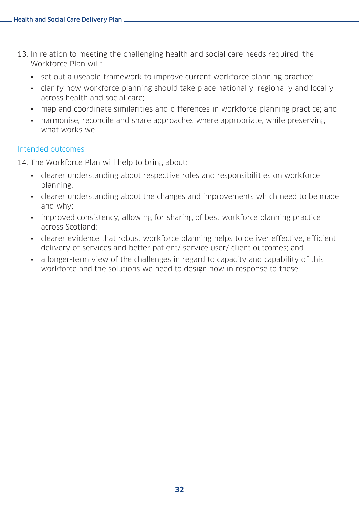- 13. In relation to meeting the challenging health and social care needs required, the Workforce Plan will:
	- set out a useable framework to improve current workforce planning practice;
	- clarify how workforce planning should take place nationally, regionally and locally across health and social care;
	- map and coordinate similarities and differences in workforce planning practice; and
	- harmonise, reconcile and share approaches where appropriate, while preserving what works well

#### Intended outcomes

14. The Workforce Plan will help to bring about:

- clearer understanding about respective roles and responsibilities on workforce planning;
- clearer understanding about the changes and improvements which need to be made and why;
- improved consistency, allowing for sharing of best workforce planning practice across Scotland;
- clearer evidence that robust workforce planning helps to deliver effective, efficient delivery of services and better patient/ service user/ client outcomes; and
- a longer-term view of the challenges in regard to capacity and capability of this workforce and the solutions we need to design now in response to these.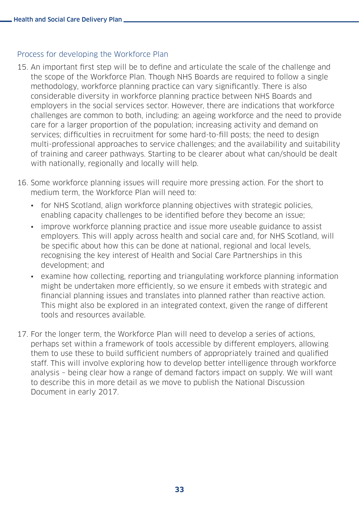#### Process for developing the Workforce Plan

- 15. An important first step will be to define and articulate the scale of the challenge and the scope of the Workforce Plan. Though NHS Boards are required to follow a single methodology, workforce planning practice can vary significantly. There is also considerable diversity in workforce planning practice between NHS Boards and employers in the social services sector. However, there are indications that workforce challenges are common to both, including: an ageing workforce and the need to provide care for a larger proportion of the population; increasing activity and demand on services; difficulties in recruitment for some hard-to-fill posts; the need to design multi-professional approaches to service challenges; and the availability and suitability of training and career pathways. Starting to be clearer about what can/should be dealt with nationally, regionally and locally will help.
- 16. Some workforce planning issues will require more pressing action. For the short to medium term, the Workforce Plan will need to:
	- for NHS Scotland, align workforce planning objectives with strategic policies, enabling capacity challenges to be identified before they become an issue;
	- improve workforce planning practice and issue more useable guidance to assist employers. This will apply across health and social care and, for NHS Scotland, will be specific about how this can be done at national, regional and local levels, recognising the key interest of Health and Social Care Partnerships in this development; and
	- examine how collecting, reporting and triangulating workforce planning information might be undertaken more efficiently, so we ensure it embeds with strategic and financial planning issues and translates into planned rather than reactive action. This might also be explored in an integrated context, given the range of different tools and resources available.
- 17. For the longer term, the Workforce Plan will need to develop a series of actions, perhaps set within a framework of tools accessible by different employers, allowing them to use these to build sufficient numbers of appropriately trained and qualified staff. This will involve exploring how to develop better intelligence through workforce analysis – being clear how a range of demand factors impact on supply. We will want to describe this in more detail as we move to publish the National Discussion Document in early 2017.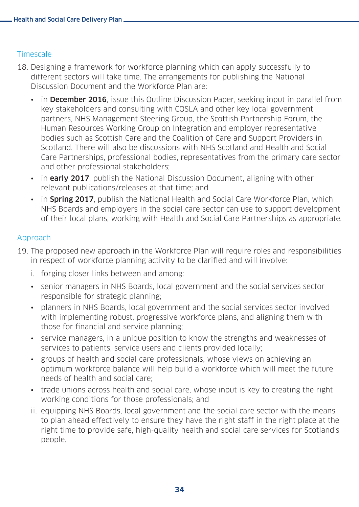#### **Timescale**

- 18. Designing a framework for workforce planning which can apply successfully to different sectors will take time. The arrangements for publishing the National Discussion Document and the Workforce Plan are:
	- in December 2016, issue this Outline Discussion Paper, seeking input in parallel from key stakeholders and consulting with COSLA and other key local government partners, NHS Management Steering Group, the Scottish Partnership Forum, the Human Resources Working Group on Integration and employer representative bodies such as Scottish Care and the Coalition of Care and Support Providers in Scotland. There will also be discussions with NHS Scotland and Health and Social Care Partnerships, professional bodies, representatives from the primary care sector and other professional stakeholders;
	- in **early 2017**, publish the National Discussion Document, aligning with other relevant publications/releases at that time; and
	- in **Spring 2017**, publish the National Health and Social Care Workforce Plan, which NHS Boards and employers in the social care sector can use to support development of their local plans, working with Health and Social Care Partnerships as appropriate.

#### Approach

- 19. The proposed new approach in the Workforce Plan will require roles and responsibilities in respect of workforce planning activity to be clarified and will involve:
	- i. forging closer links between and among:
	- senior managers in NHS Boards, local government and the social services sector responsible for strategic planning;
	- planners in NHS Boards, local government and the social services sector involved with implementing robust, progressive workforce plans, and aligning them with those for financial and service planning;
	- service managers, in a unique position to know the strengths and weaknesses of services to patients, service users and clients provided locally;
	- groups of health and social care professionals, whose views on achieving an optimum workforce balance will help build a workforce which will meet the future needs of health and social care;
	- trade unions across health and social care, whose input is key to creating the right working conditions for those professionals; and
	- ii. equipping NHS Boards, local government and the social care sector with the means to plan ahead effectively to ensure they have the right staff in the right place at the right time to provide safe, high-quality health and social care services for Scotland's people.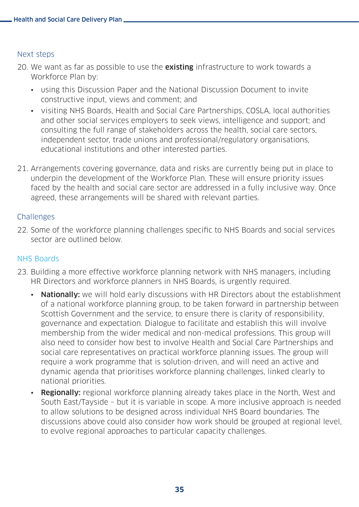#### Next steps

- 20. We want as far as possible to use the **existing** infrastructure to work towards a Workforce Plan by:
	- using this Discussion Paper and the National Discussion Document to invite constructive input, views and comment; and
	- visiting NHS Boards, Health and Social Care Partnerships, COSLA, local authorities and other social services employers to seek views, intelligence and support; and consulting the full range of stakeholders across the health, social care sectors, independent sector, trade unions and professional/regulatory organisations, educational institutions and other interested parties.
- 21. Arrangements covering governance, data and risks are currently being put in place to underpin the development of the Workforce Plan. These will ensure priority issues faced by the health and social care sector are addressed in a fully inclusive way. Once agreed, these arrangements will be shared with relevant parties.

#### **Challenges**

22. Some of the workforce planning challenges specific to NHS Boards and social services sector are outlined below.

#### NHS Boards

- 23. Building a more effective workforce planning network with NHS managers, including HR Directors and workforce planners in NHS Boards, is urgently required.
	- Nationally: we will hold early discussions with HR Directors about the establishment of a national workforce planning group, to be taken forward in partnership between Scottish Government and the service, to ensure there is clarity of responsibility, governance and expectation. Dialogue to facilitate and establish this will involve membership from the wider medical and non-medical professions. This group will also need to consider how best to involve Health and Social Care Partnerships and social care representatives on practical workforce planning issues. The group will require a work programme that is solution-driven, and will need an active and dynamic agenda that prioritises workforce planning challenges, linked clearly to national priorities.
	- Regionally: regional workforce planning already takes place in the North, West and South East/Tayside – but it is variable in scope. A more inclusive approach is needed to allow solutions to be designed across individual NHS Board boundaries. The discussions above could also consider how work should be grouped at regional level, to evolve regional approaches to particular capacity challenges.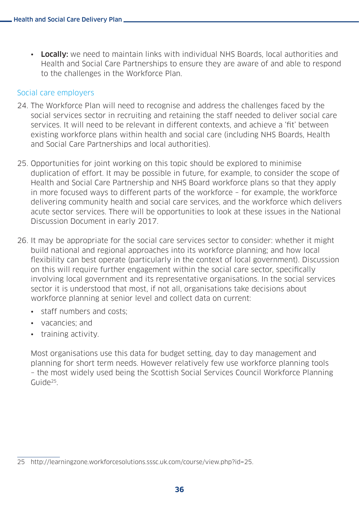• Locally: we need to maintain links with individual NHS Boards, local authorities and Health and Social Care Partnerships to ensure they are aware of and able to respond to the challenges in the Workforce Plan.

#### Social care employers

- 24. The Workforce Plan will need to recognise and address the challenges faced by the social services sector in recruiting and retaining the staff needed to deliver social care services. It will need to be relevant in different contexts, and achieve a 'fit' between existing workforce plans within health and social care (including NHS Boards, Health and Social Care Partnerships and local authorities).
- 25. Opportunities for joint working on this topic should be explored to minimise duplication of effort. It may be possible in future, for example, to consider the scope of Health and Social Care Partnership and NHS Board workforce plans so that they apply in more focused ways to different parts of the workforce – for example, the workforce delivering community health and social care services, and the workforce which delivers acute sector services. There will be opportunities to look at these issues in the National Discussion Document in early 2017.
- 26. It may be appropriate for the social care services sector to consider: whether it might build national and regional approaches into its workforce planning; and how local flexibility can best operate (particularly in the context of local government). Discussion on this will require further engagement within the social care sector, specifically involving local government and its representative organisations. In the social services sector it is understood that most, if not all, organisations take decisions about workforce planning at senior level and collect data on current:
	- staff numbers and costs;
	- vacancies; and
	- training activity.

Most organisations use this data for budget setting, day to day management and planning for short term needs. However relatively few use workforce planning tools – the most widely used being the Scottish Social Services Council Workforce Planning Guide<sup>25</sup>

<sup>25</sup> <http://learningzone.workforcesolutions.sssc.uk.com/course/view.php?id=25.>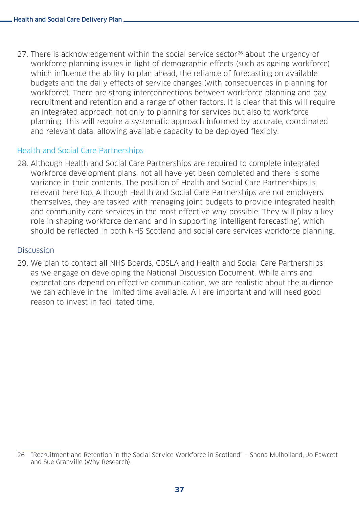27. There is acknowledgement within the social service sector<sup>26</sup> about the urgency of workforce planning issues in light of demographic effects (such as ageing workforce) which influence the ability to plan ahead, the reliance of forecasting on available budgets and the daily effects of service changes (with consequences in planning for workforce). There are strong interconnections between workforce planning and pay, recruitment and retention and a range of other factors. It is clear that this will require an integrated approach not only to planning for services but also to workforce planning. This will require a systematic approach informed by accurate, coordinated and relevant data, allowing available capacity to be deployed flexibly.

#### Health and Social Care Partnerships

28. Although Health and Social Care Partnerships are required to complete integrated workforce development plans, not all have yet been completed and there is some variance in their contents. The position of Health and Social Care Partnerships is relevant here too. Although Health and Social Care Partnerships are not employers themselves, they are tasked with managing joint budgets to provide integrated health and community care services in the most effective way possible. They will play a key role in shaping workforce demand and in supporting 'intelligent forecasting', which should be reflected in both NHS Scotland and social care services workforce planning.

#### Discussion

29. We plan to contact all NHS Boards, COSLA and Health and Social Care Partnerships as we engage on developing the National Discussion Document. While aims and expectations depend on effective communication, we are realistic about the audience we can achieve in the limited time available. All are important and will need good reason to invest in facilitated time.

<sup>26</sup> "Recruitment and Retention in the Social Service Workforce in Scotland" – Shona Mulholland, Jo Fawcett and Sue Granville (Why Research).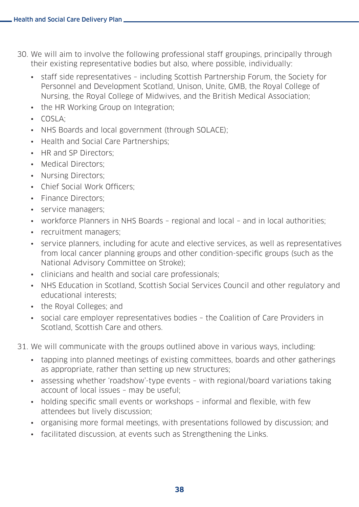- 30. We will aim to involve the following professional staff groupings, principally through their existing representative bodies but also, where possible, individually:
	- staff side representatives including Scottish Partnership Forum, the Society for Personnel and Development Scotland, Unison, Unite, GMB, the Royal College of Nursing, the Royal College of Midwives, and the British Medical Association;
	- the HR Working Group on Integration;
	- COSLA;
	- NHS Boards and local government (through SOLACE);
	- Health and Social Care Partnerships;
	- HR and SP Directors:
	- Medical Directors:
	- Nursing Directors;
	- Chief Social Work Officers;
	- Finance Directors:
	- service managers;
	- workforce Planners in NHS Boards regional and local and in local authorities;
	- recruitment managers;
	- service planners, including for acute and elective services, as well as representatives from local cancer planning groups and other condition-specific groups (such as the National Advisory Committee on Stroke);
	- clinicians and health and social care professionals;
	- NHS Education in Scotland, Scottish Social Services Council and other regulatory and educational interests;
	- the Royal Colleges; and
	- social care employer representatives bodies the Coalition of Care Providers in Scotland, Scottish Care and others.
- 31. We will communicate with the groups outlined above in various ways, including:
	- tapping into planned meetings of existing committees, boards and other gatherings as appropriate, rather than setting up new structures;
	- assessing whether 'roadshow'-type events with regional/board variations taking account of local issues – may be useful;
	- holding specific small events or workshops informal and flexible, with few attendees but lively discussion;
	- organising more formal meetings, with presentations followed by discussion; and
	- facilitated discussion, at events such as Strengthening the Links.